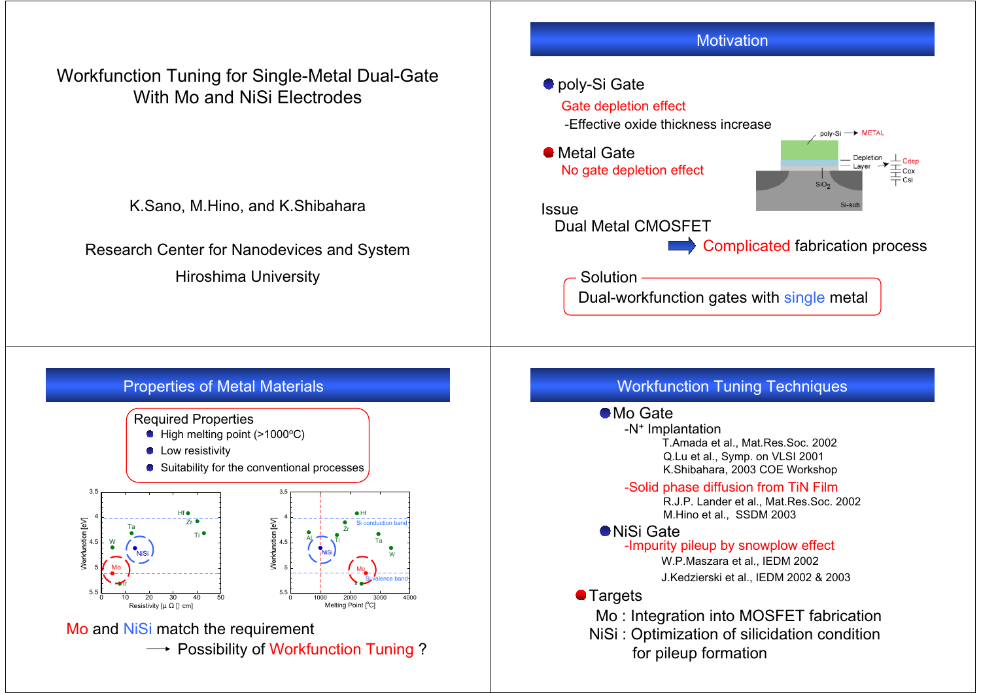## Workfunction Tuning for Single-Metal Dual-Gate With Mo and NiSi Electrodes

K.Sano, M.Hino, and K.Shibahara

Research Center for Nanodevices and System Hiroshima University

### ● poly-Si Gate

#### Gate depletion effect

-Effective oxide thickness increase

Metal Gate No gate depletion effect



IssueDual Metal CMOSFET

Complicated fabrication process

Solution

Dual-workfunction gates with single metal

### Properties of Metal Materials



## Workfunction Tuning Techniques

#### ● Mo Gate

-N+ Implantation K.Shibahara, 2003 COE Workshop T.Amada et al., Mat.Res.Soc. 2002 Q.Lu et al., Symp. on VLSI 2001

-Solid phase diffusion from TiN Film

R.J.P. Lander et al., Mat.Res.Soc. 2002 M.Hino et al., SSDM 2003

#### NiSi Gate

-Impurity pileup by snowplow effect W.P.Maszara et al., IEDM 2002 J.Kedzierski et al., IEDM 2002 & 2003

### **• Targets**

Mo : Integration into MOSFET fabrication NiSi : Optimization of silicidation condition for pileup formation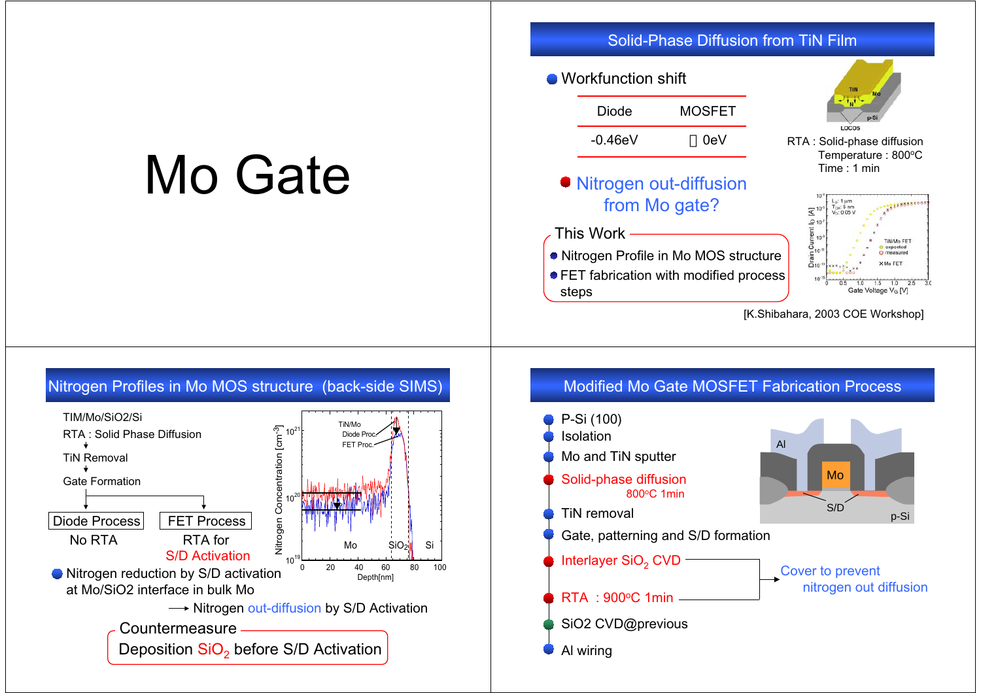## Mo Gate

Solid-Phase Diffusion from TiN Film

#### Workfunction shift

| Diode      | <b>MOSFET</b> |
|------------|---------------|
| $-0.46$ eV | 0eV           |

Nitrogen out-diffusion from Mo gate?

#### This Work

- Nitrogen Profile in Mo MOS structure
- **FET fabrication with modified process** steps



RTA : Solid-phase diffusion Temperature : 800°C Time : 1 min



[K.Shibahara, 2003 COE Workshop]



## Modified Mo Gate MOSFET Fabrication Process

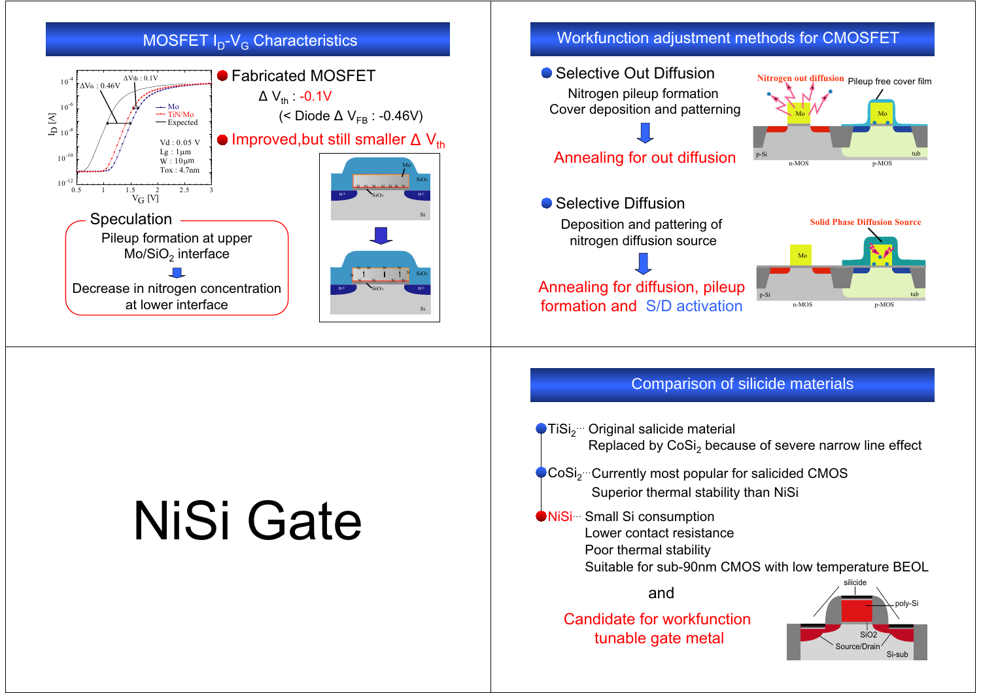## MOSFET I<sub>D</sub>-V<sub>G</sub> Characteristics



# NiSi Gate

## Workfunction adjustment methods for CMOSFET

● Selective Out Diffusion p-Si tub n-MOS p-MOS **Nitrogen out diffusion** Pileup free cover film Nitrogen pileup formation Cover deposition and patterning Annealing for out diffusion

● Selective Diffusion Deposition and pattering of nitrogen diffusion source

Annealing for diffusion, pileup formation and S/D activation



Si-sub

Mo

Mo

### Comparison of silicide materials

● TiSi<sub>2</sub>… Original salicide material Replaced by  $\mathsf{CoSi}_2$  because of severe narrow line effect  $\bullet$  CoSi<sub>2</sub>… Currently most popular for salicided CMOS Superior thermal stability than NiSi NiSi… Small Si consumption Lower contact resistancePoor thermal stability Suitable for sub-90nm CMOS with low temperature BEOL SiO2Source/Drainpoly-Si silicideandCandidate for workfunction tunable gate metal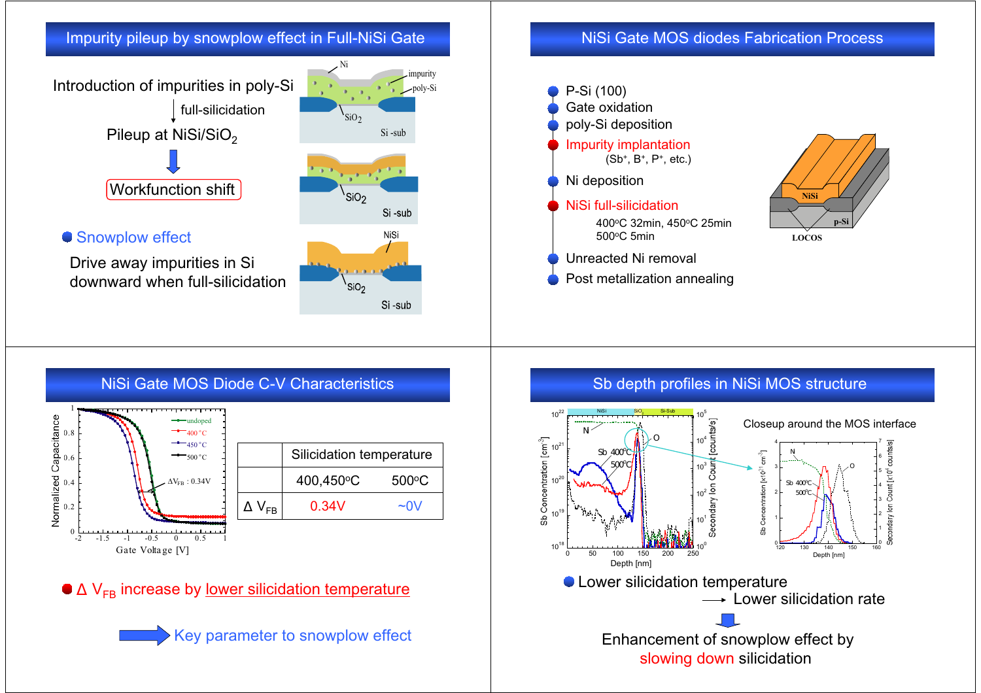## Impurity pileup by snowplow effect in Full-NiSi Gate



Drive away impurities in Si downward when full-silicidation



poly-Si

impurity

## NiSi Gate MOS diodes Fabrication Process





**LOCOS**

#### NiSi Gate MOS Diode C-V Characteristics  $\Delta V_{FB}$  : 0.34V 0 $0.2$ 0.40.6 $_{0.8}$  $-2$   $-1.5$   $-1$   $-0.5$  0 0.5 undoped 400 <sup>o</sup> C4500 º C500 °C Gate Volta ge [V]  $V_{FR}$  $0.34V$  ~0V Silicidation temperature 400,450<sup>o</sup>C 500<sup>o</sup>C

V<sub>FB</sub> increase by <u>lower silicidation temperature</u>

Key parameter to snowplow effect

## Sb depth profiles in NiSi MOS structure